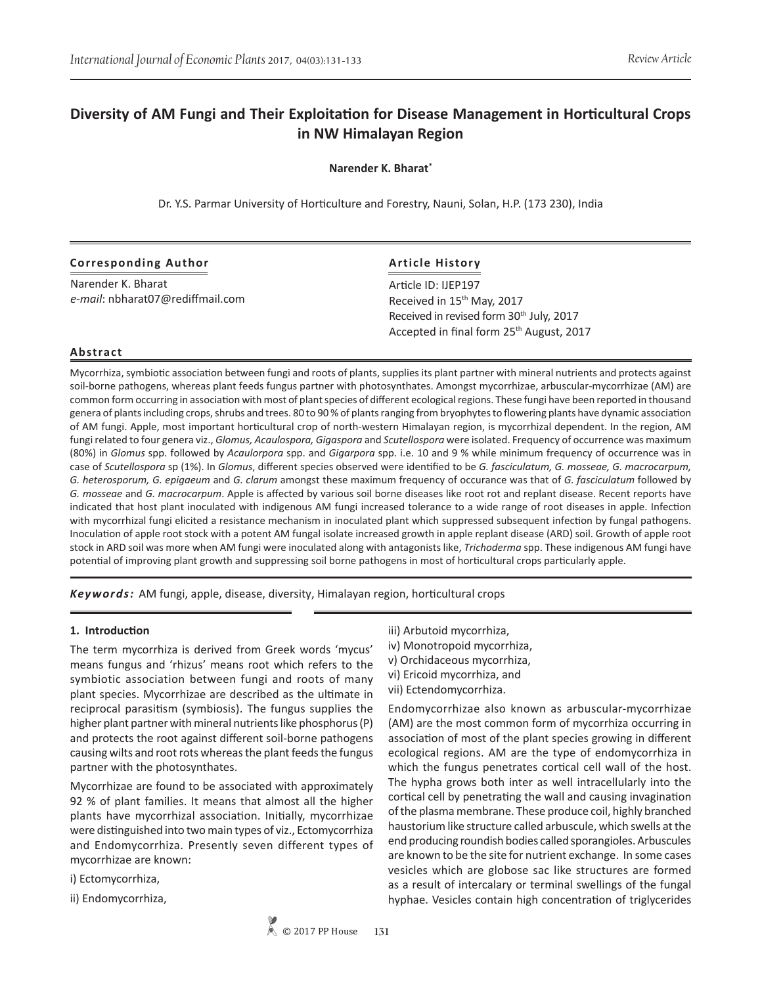# **Diversity of AM Fungi and Their Exploitation for Disease Management in Horticultural Crops in NW Himalayan Region**

**Narender K. Bharat\***

Dr. Y.S. Parmar University of Horticulture and Forestry, Nauni, Solan, H.P. (173 230), India

| <b>Corresponding Author</b>      | <b>Article History</b>                                                                                       |
|----------------------------------|--------------------------------------------------------------------------------------------------------------|
| Narender K. Bharat               | Article ID: IJEP197                                                                                          |
| e-mail: nbharat07@rediffmail.com | Received in 15th May, 2017                                                                                   |
|                                  | Received in revised form 30 <sup>th</sup> July, 2017<br>Accepted in final form 25 <sup>th</sup> August, 2017 |

# **Abstract**

Mycorrhiza, symbiotic association between fungi and roots of plants, supplies its plant partner with mineral nutrients and protects against soil-borne pathogens, whereas plant feeds fungus partner with photosynthates. Amongst mycorrhizae, arbuscular-mycorrhizae (AM) are common form occurring in association with most of plant species of different ecological regions. These fungi have been reported in thousand genera of plants including crops, shrubs and trees. 80 to 90 % of plants ranging from bryophytes to flowering plants have dynamic association of AM fungi. Apple, most important horticultural crop of north-western Himalayan region, is mycorrhizal dependent. In the region, AM fungi related to four genera viz., *Glomus, Acaulospora, Gigaspora* and *Scutellospora* were isolated. Frequency of occurrence was maximum (80%) in *Glomus* spp. followed by *Acaulorpora* spp. and *Gigarpora* spp. i.e. 10 and 9 % while minimum frequency of occurrence was in case of *Scutellospora* sp (1%). In *Glomus*, different species observed were identified to be *G. fasciculatum, G. mosseae, G. macrocarpum, G. heterosporum, G. epigaeum* and *G. clarum* amongst these maximum frequency of occurance was that of *G. fasciculatum* followed by *G. mosseae* and *G. macrocarpum*. Apple is affected by various soil borne diseases like root rot and replant disease. Recent reports have indicated that host plant inoculated with indigenous AM fungi increased tolerance to a wide range of root diseases in apple. Infection with mycorrhizal fungi elicited a resistance mechanism in inoculated plant which suppressed subsequent infection by fungal pathogens. Inoculation of apple root stock with a potent AM fungal isolate increased growth in apple replant disease (ARD) soil. Growth of apple root stock in ARD soil was more when AM fungi were inoculated along with antagonists like, *Trichoderma* spp. These indigenous AM fungi have potential of improving plant growth and suppressing soil borne pathogens in most of horticultural crops particularly apple.

*Keywords:* AM fungi, apple, disease, diversity, Himalayan region, horticultural crops

# **1. Introduction**

The term mycorrhiza is derived from Greek words 'mycus' means fungus and 'rhizus' means root which refers to the symbiotic association between fungi and roots of many plant species. Mycorrhizae are described as the ultimate in reciprocal parasitism (symbiosis). The fungus supplies the higher plant partner with mineral nutrients like phosphorus (P) and protects the root against different soil-borne pathogens causing wilts and root rots whereas the plant feeds the fungus partner with the photosynthates.

Mycorrhizae are found to be associated with approximately 92 % of plant families. It means that almost all the higher plants have mycorrhizal association. Initially, mycorrhizae were distinguished into two main types of viz., Ectomycorrhiza and Endomycorrhiza. Presently seven different types of mycorrhizae are known:

i) Ectomycorrhiza,

ii) Endomycorrhiza,

- iii) Arbutoid mycorrhiza,
- iv) Monotropoid mycorrhiza,
- v) Orchidaceous mycorrhiza,
- vi) Ericoid mycorrhiza, and
- vii) Ectendomycorrhiza.

Endomycorrhizae also known as arbuscular-mycorrhizae (AM) are the most common form of mycorrhiza occurring in association of most of the plant species growing in different ecological regions. AM are the type of endomycorrhiza in which the fungus penetrates cortical cell wall of the host. The hypha grows both inter as well intracellularly into the cortical cell by penetrating the wall and causing invagination of the plasma membrane. These produce coil, highly branched haustorium like structure called arbuscule, which swells at the end producing roundish bodies called sporangioles. Arbuscules are known to be the site for nutrient exchange. In some cases vesicles which are globose sac like structures are formed as a result of intercalary or terminal swellings of the fungal hyphae. Vesicles contain high concentration of triglycerides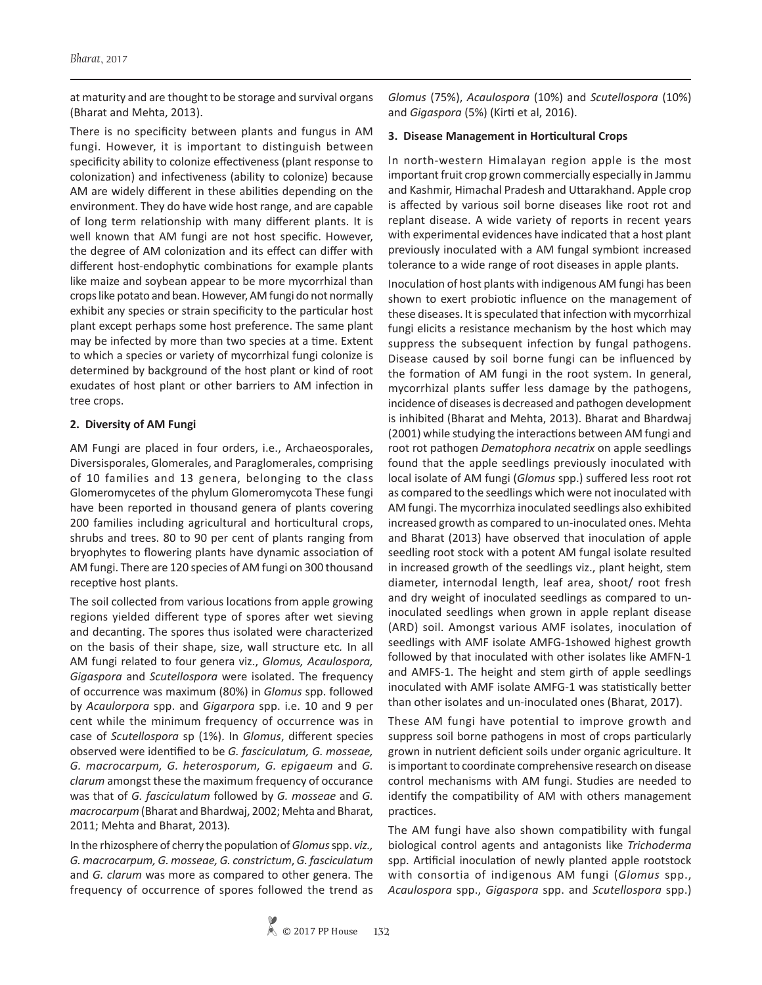at maturity and are thought to be storage and survival organs (Bharat and Mehta, 2013).

There is no specificity between plants and fungus in AM fungi. However, it is important to distinguish between specificity ability to colonize effectiveness (plant response to colonization) and infectiveness (ability to colonize) because AM are widely different in these abilities depending on the environment. They do have wide host range, and are capable of long term relationship with many different plants. It is well known that AM fungi are not host specific. However, the degree of AM colonization and its effect can differ with different host-endophytic combinations for example plants like maize and soybean appear to be more mycorrhizal than crops like potato and bean. However, AM fungi do not normally exhibit any species or strain specificity to the particular host plant except perhaps some host preference. The same plant may be infected by more than two species at a time. Extent to which a species or variety of mycorrhizal fungi colonize is determined by background of the host plant or kind of root exudates of host plant or other barriers to AM infection in tree crops.

#### **2. Diversity of AM Fungi**

AM Fungi are placed in four orders, i.e., Archaeosporales, Diversisporales, Glomerales, and Paraglomerales, comprising of 10 families and 13 genera, belonging to the class Glomeromycetes of the phylum Glomeromycota These fungi have been reported in thousand genera of plants covering 200 families including agricultural and horticultural crops, shrubs and trees. 80 to 90 per cent of plants ranging from bryophytes to flowering plants have dynamic association of AM fungi. There are 120 species of AM fungi on 300 thousand receptive host plants.

The soil collected from various locations from apple growing regions yielded different type of spores after wet sieving and decanting. The spores thus isolated were characterized on the basis of their shape, size, wall structure etc*.* In all AM fungi related to four genera viz., *Glomus, Acaulospora, Gigaspora* and *Scutellospora* were isolated. The frequency of occurrence was maximum (80%) in *Glomus* spp. followed by *Acaulorpora* spp. and *Gigarpora* spp. i.e. 10 and 9 per cent while the minimum frequency of occurrence was in case of *Scutellospora* sp (1%). In *Glomus*, different species observed were identified to be *G. fasciculatum, G. mosseae, G. macrocarpum, G. heterosporum, G. epigaeum* and *G. clarum* amongst these the maximum frequency of occurance was that of *G. fasciculatum* followed by *G. mosseae* and *G. macrocarpum* (Bharat and Bhardwaj, 2002; Mehta and Bharat, 2011; Mehta and Bharat, 2013)*.*

In the rhizosphere of cherry the population of *Glomus* spp. *viz., G. macrocarpum, G. mosseae, G. constrictum*, *G. fasciculatum*  and *G. clarum* was more as compared to other genera. The frequency of occurrence of spores followed the trend as *Glomus* (75%), *Acaulospora* (10%) and *Scutellospora* (10%) and *Gigaspora* (5%) (Kirti et al, 2016).

#### **3. Disease Management in Horticultural Crops**

In north-western Himalayan region apple is the most important fruit crop grown commercially especially in Jammu and Kashmir, Himachal Pradesh and Uttarakhand. Apple crop is affected by various soil borne diseases like root rot and replant disease. A wide variety of reports in recent years with experimental evidences have indicated that a host plant previously inoculated with a AM fungal symbiont increased tolerance to a wide range of root diseases in apple plants.

Inoculation of host plants with indigenous AM fungi has been shown to exert probiotic influence on the management of these diseases. It is speculated that infection with mycorrhizal fungi elicits a resistance mechanism by the host which may suppress the subsequent infection by fungal pathogens. Disease caused by soil borne fungi can be influenced by the formation of AM fungi in the root system. In general, mycorrhizal plants suffer less damage by the pathogens, incidence of diseases is decreased and pathogen development is inhibited (Bharat and Mehta, 2013). Bharat and Bhardwaj (2001) while studying the interactions between AM fungi and root rot pathogen *Dematophora necatrix* on apple seedlings found that the apple seedlings previously inoculated with local isolate of AM fungi (*Glomus* spp.) suffered less root rot as compared to the seedlings which were not inoculated with AM fungi. The mycorrhiza inoculated seedlings also exhibited increased growth as compared to un-inoculated ones. Mehta and Bharat (2013) have observed that inoculation of apple seedling root stock with a potent AM fungal isolate resulted in increased growth of the seedlings viz., plant height, stem diameter, internodal length, leaf area, shoot/ root fresh and dry weight of inoculated seedlings as compared to uninoculated seedlings when grown in apple replant disease (ARD) soil. Amongst various AMF isolates, inoculation of seedlings with AMF isolate AMFG-1showed highest growth followed by that inoculated with other isolates like AMFN-1 and AMFS-1. The height and stem girth of apple seedlings inoculated with AMF isolate AMFG-1 was statistically better than other isolates and un-inoculated ones (Bharat, 2017).

These AM fungi have potential to improve growth and suppress soil borne pathogens in most of crops particularly grown in nutrient deficient soils under organic agriculture. It is important to coordinate comprehensive research on disease control mechanisms with AM fungi. Studies are needed to identify the compatibility of AM with others management practices.

The AM fungi have also shown compatibility with fungal biological control agents and antagonists like *Trichoderma* spp. Artificial inoculation of newly planted apple rootstock with consortia of indigenous AM fungi (*Glomus* spp., *Acaulospora* spp., *Gigaspora* spp. and *Scutellospora* spp.)